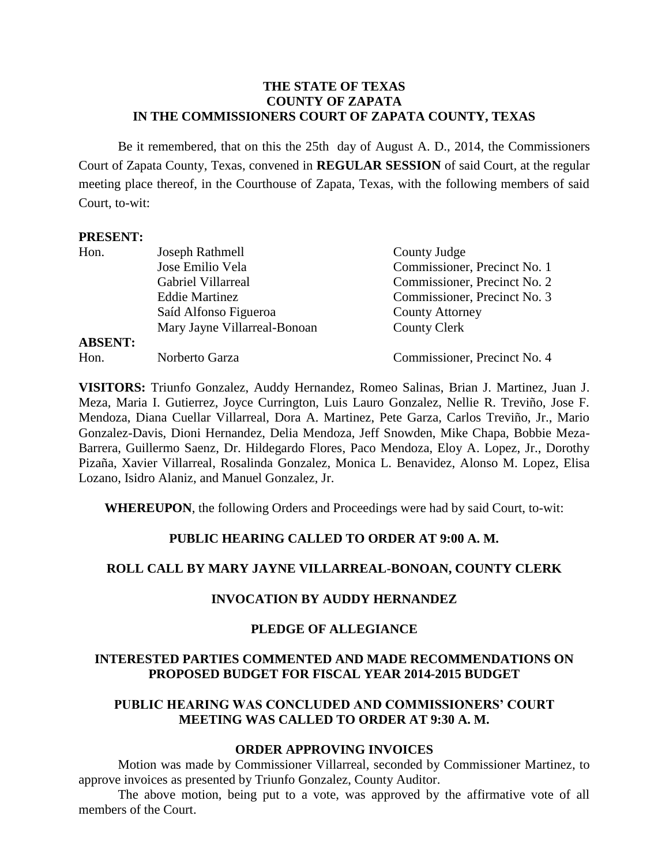#### **THE STATE OF TEXAS COUNTY OF ZAPATA IN THE COMMISSIONERS COURT OF ZAPATA COUNTY, TEXAS**

Be it remembered, that on this the 25th day of August A. D., 2014, the Commissioners Court of Zapata County, Texas, convened in **REGULAR SESSION** of said Court, at the regular meeting place thereof, in the Courthouse of Zapata, Texas, with the following members of said Court, to-wit:

#### **PRESENT:**

| Hon.           | Joseph Rathmell              | County Judge                 |  |
|----------------|------------------------------|------------------------------|--|
|                | Jose Emilio Vela             | Commissioner, Precinct No. 1 |  |
|                | Gabriel Villarreal           | Commissioner, Precinct No. 2 |  |
|                | <b>Eddie Martinez</b>        | Commissioner, Precinct No. 3 |  |
|                | Saíd Alfonso Figueroa        | <b>County Attorney</b>       |  |
|                | Mary Jayne Villarreal-Bonoan | County Clerk                 |  |
| <b>ABSENT:</b> |                              |                              |  |
| Hon.           | Norberto Garza               | Commissioner, Precinct No. 4 |  |

**VISITORS:** Triunfo Gonzalez, Auddy Hernandez, Romeo Salinas, Brian J. Martinez, Juan J. Meza, Maria I. Gutierrez, Joyce Currington, Luis Lauro Gonzalez, Nellie R. Treviño, Jose F. Mendoza, Diana Cuellar Villarreal, Dora A. Martinez, Pete Garza, Carlos Treviño, Jr., Mario Gonzalez-Davis, Dioni Hernandez, Delia Mendoza, Jeff Snowden, Mike Chapa, Bobbie Meza-Barrera, Guillermo Saenz, Dr. Hildegardo Flores, Paco Mendoza, Eloy A. Lopez, Jr., Dorothy Pizaña, Xavier Villarreal, Rosalinda Gonzalez, Monica L. Benavidez, Alonso M. Lopez, Elisa Lozano, Isidro Alaniz, and Manuel Gonzalez, Jr.

**WHEREUPON**, the following Orders and Proceedings were had by said Court, to-wit:

## **PUBLIC HEARING CALLED TO ORDER AT 9:00 A. M.**

#### **ROLL CALL BY MARY JAYNE VILLARREAL-BONOAN, COUNTY CLERK**

#### **INVOCATION BY AUDDY HERNANDEZ**

#### **PLEDGE OF ALLEGIANCE**

## **INTERESTED PARTIES COMMENTED AND MADE RECOMMENDATIONS ON PROPOSED BUDGET FOR FISCAL YEAR 2014-2015 BUDGET**

## **PUBLIC HEARING WAS CONCLUDED AND COMMISSIONERS' COURT MEETING WAS CALLED TO ORDER AT 9:30 A. M.**

#### **ORDER APPROVING INVOICES**

Motion was made by Commissioner Villarreal, seconded by Commissioner Martinez, to approve invoices as presented by Triunfo Gonzalez, County Auditor.

The above motion, being put to a vote, was approved by the affirmative vote of all members of the Court.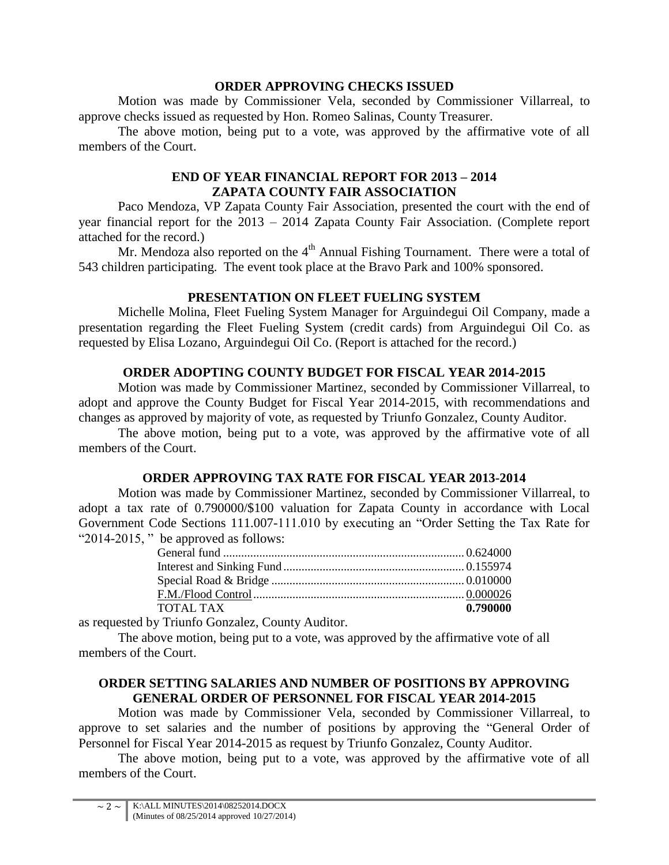## **ORDER APPROVING CHECKS ISSUED**

Motion was made by Commissioner Vela, seconded by Commissioner Villarreal, to approve checks issued as requested by Hon. Romeo Salinas, County Treasurer.

The above motion, being put to a vote, was approved by the affirmative vote of all members of the Court.

## **END OF YEAR FINANCIAL REPORT FOR 2013 – 2014 ZAPATA COUNTY FAIR ASSOCIATION**

Paco Mendoza, VP Zapata County Fair Association, presented the court with the end of year financial report for the 2013 – 2014 Zapata County Fair Association. (Complete report attached for the record.)

Mr. Mendoza also reported on the  $4<sup>th</sup>$  Annual Fishing Tournament. There were a total of 543 children participating. The event took place at the Bravo Park and 100% sponsored.

## **PRESENTATION ON FLEET FUELING SYSTEM**

Michelle Molina, Fleet Fueling System Manager for Arguindegui Oil Company, made a presentation regarding the Fleet Fueling System (credit cards) from Arguindegui Oil Co. as requested by Elisa Lozano, Arguindegui Oil Co. (Report is attached for the record.)

## **ORDER ADOPTING COUNTY BUDGET FOR FISCAL YEAR 2014-2015**

Motion was made by Commissioner Martinez, seconded by Commissioner Villarreal, to adopt and approve the County Budget for Fiscal Year 2014-2015, with recommendations and changes as approved by majority of vote, as requested by Triunfo Gonzalez, County Auditor.

The above motion, being put to a vote, was approved by the affirmative vote of all members of the Court.

# **ORDER APPROVING TAX RATE FOR FISCAL YEAR 2013-2014**

Motion was made by Commissioner Martinez, seconded by Commissioner Villarreal, to adopt a tax rate of 0.790000/\$100 valuation for Zapata County in accordance with Local Government Code Sections 111.007-111.010 by executing an "Order Setting the Tax Rate for "2014-2015, " be approved as follows:

| TOTAL TAX | 0.790000 |
|-----------|----------|

as requested by Triunfo Gonzalez, County Auditor.

The above motion, being put to a vote, was approved by the affirmative vote of all members of the Court.

# **ORDER SETTING SALARIES AND NUMBER OF POSITIONS BY APPROVING GENERAL ORDER OF PERSONNEL FOR FISCAL YEAR 2014-2015**

Motion was made by Commissioner Vela, seconded by Commissioner Villarreal, to approve to set salaries and the number of positions by approving the "General Order of Personnel for Fiscal Year 2014-2015 as request by Triunfo Gonzalez, County Auditor.

The above motion, being put to a vote, was approved by the affirmative vote of all members of the Court.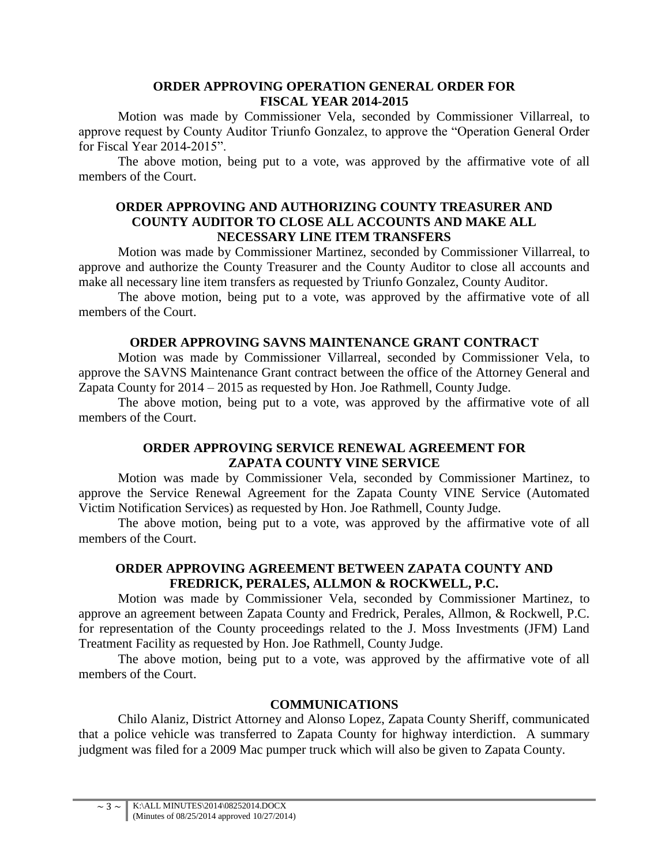#### **ORDER APPROVING OPERATION GENERAL ORDER FOR FISCAL YEAR 2014-2015**

Motion was made by Commissioner Vela, seconded by Commissioner Villarreal, to approve request by County Auditor Triunfo Gonzalez, to approve the "Operation General Order for Fiscal Year 2014-2015".

The above motion, being put to a vote, was approved by the affirmative vote of all members of the Court.

#### **ORDER APPROVING AND AUTHORIZING COUNTY TREASURER AND COUNTY AUDITOR TO CLOSE ALL ACCOUNTS AND MAKE ALL NECESSARY LINE ITEM TRANSFERS**

Motion was made by Commissioner Martinez, seconded by Commissioner Villarreal, to approve and authorize the County Treasurer and the County Auditor to close all accounts and make all necessary line item transfers as requested by Triunfo Gonzalez, County Auditor.

The above motion, being put to a vote, was approved by the affirmative vote of all members of the Court.

#### **ORDER APPROVING SAVNS MAINTENANCE GRANT CONTRACT**

Motion was made by Commissioner Villarreal, seconded by Commissioner Vela, to approve the SAVNS Maintenance Grant contract between the office of the Attorney General and Zapata County for 2014 – 2015 as requested by Hon. Joe Rathmell, County Judge.

The above motion, being put to a vote, was approved by the affirmative vote of all members of the Court.

## **ORDER APPROVING SERVICE RENEWAL AGREEMENT FOR ZAPATA COUNTY VINE SERVICE**

Motion was made by Commissioner Vela, seconded by Commissioner Martinez, to approve the Service Renewal Agreement for the Zapata County VINE Service (Automated Victim Notification Services) as requested by Hon. Joe Rathmell, County Judge.

The above motion, being put to a vote, was approved by the affirmative vote of all members of the Court.

## **ORDER APPROVING AGREEMENT BETWEEN ZAPATA COUNTY AND FREDRICK, PERALES, ALLMON & ROCKWELL, P.C.**

Motion was made by Commissioner Vela, seconded by Commissioner Martinez, to approve an agreement between Zapata County and Fredrick, Perales, Allmon, & Rockwell, P.C. for representation of the County proceedings related to the J. Moss Investments (JFM) Land Treatment Facility as requested by Hon. Joe Rathmell, County Judge.

The above motion, being put to a vote, was approved by the affirmative vote of all members of the Court.

## **COMMUNICATIONS**

Chilo Alaniz, District Attorney and Alonso Lopez, Zapata County Sheriff, communicated that a police vehicle was transferred to Zapata County for highway interdiction. A summary judgment was filed for a 2009 Mac pumper truck which will also be given to Zapata County.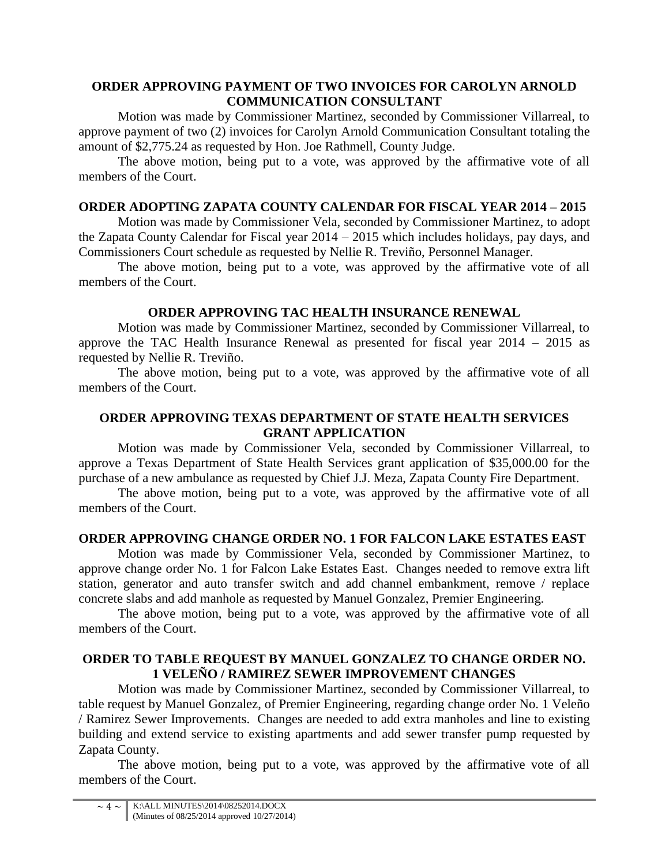## **ORDER APPROVING PAYMENT OF TWO INVOICES FOR CAROLYN ARNOLD COMMUNICATION CONSULTANT**

Motion was made by Commissioner Martinez, seconded by Commissioner Villarreal, to approve payment of two (2) invoices for Carolyn Arnold Communication Consultant totaling the amount of \$2,775.24 as requested by Hon. Joe Rathmell, County Judge.

The above motion, being put to a vote, was approved by the affirmative vote of all members of the Court.

# **ORDER ADOPTING ZAPATA COUNTY CALENDAR FOR FISCAL YEAR 2014 – 2015**

Motion was made by Commissioner Vela, seconded by Commissioner Martinez, to adopt the Zapata County Calendar for Fiscal year 2014 – 2015 which includes holidays, pay days, and Commissioners Court schedule as requested by Nellie R. Treviño, Personnel Manager.

The above motion, being put to a vote, was approved by the affirmative vote of all members of the Court.

## **ORDER APPROVING TAC HEALTH INSURANCE RENEWAL**

Motion was made by Commissioner Martinez, seconded by Commissioner Villarreal, to approve the TAC Health Insurance Renewal as presented for fiscal year 2014 – 2015 as requested by Nellie R. Treviño.

The above motion, being put to a vote, was approved by the affirmative vote of all members of the Court.

## **ORDER APPROVING TEXAS DEPARTMENT OF STATE HEALTH SERVICES GRANT APPLICATION**

Motion was made by Commissioner Vela, seconded by Commissioner Villarreal, to approve a Texas Department of State Health Services grant application of \$35,000.00 for the purchase of a new ambulance as requested by Chief J.J. Meza, Zapata County Fire Department.

The above motion, being put to a vote, was approved by the affirmative vote of all members of the Court.

## **ORDER APPROVING CHANGE ORDER NO. 1 FOR FALCON LAKE ESTATES EAST**

Motion was made by Commissioner Vela, seconded by Commissioner Martinez, to approve change order No. 1 for Falcon Lake Estates East. Changes needed to remove extra lift station, generator and auto transfer switch and add channel embankment, remove / replace concrete slabs and add manhole as requested by Manuel Gonzalez, Premier Engineering.

The above motion, being put to a vote, was approved by the affirmative vote of all members of the Court.

## **ORDER TO TABLE REQUEST BY MANUEL GONZALEZ TO CHANGE ORDER NO. 1 VELEÑO / RAMIREZ SEWER IMPROVEMENT CHANGES**

Motion was made by Commissioner Martinez, seconded by Commissioner Villarreal, to table request by Manuel Gonzalez, of Premier Engineering, regarding change order No. 1 Veleño / Ramirez Sewer Improvements. Changes are needed to add extra manholes and line to existing building and extend service to existing apartments and add sewer transfer pump requested by Zapata County.

The above motion, being put to a vote, was approved by the affirmative vote of all members of the Court.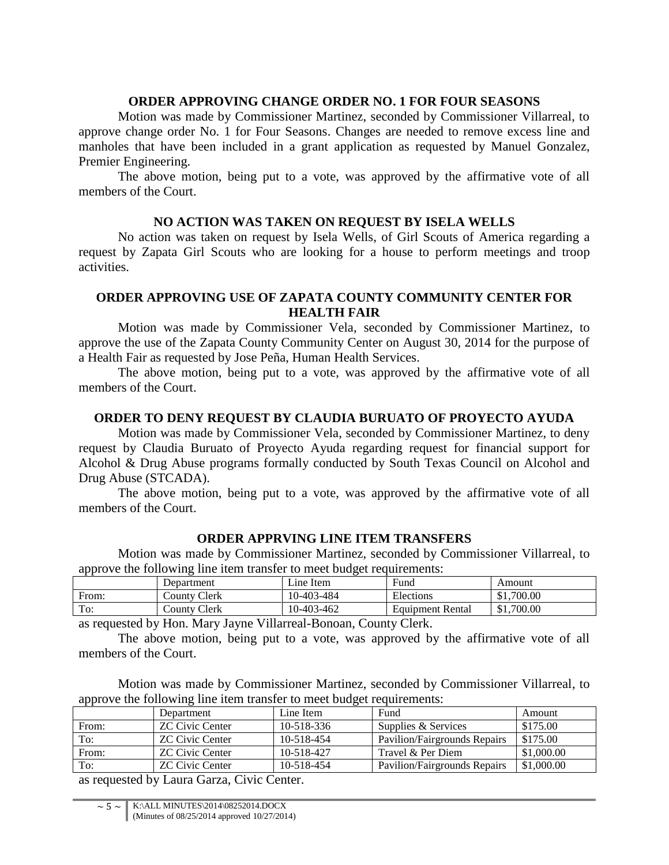#### **ORDER APPROVING CHANGE ORDER NO. 1 FOR FOUR SEASONS**

Motion was made by Commissioner Martinez, seconded by Commissioner Villarreal, to approve change order No. 1 for Four Seasons. Changes are needed to remove excess line and manholes that have been included in a grant application as requested by Manuel Gonzalez, Premier Engineering.

The above motion, being put to a vote, was approved by the affirmative vote of all members of the Court.

#### **NO ACTION WAS TAKEN ON REQUEST BY ISELA WELLS**

No action was taken on request by Isela Wells, of Girl Scouts of America regarding a request by Zapata Girl Scouts who are looking for a house to perform meetings and troop activities.

#### **ORDER APPROVING USE OF ZAPATA COUNTY COMMUNITY CENTER FOR HEALTH FAIR**

Motion was made by Commissioner Vela, seconded by Commissioner Martinez, to approve the use of the Zapata County Community Center on August 30, 2014 for the purpose of a Health Fair as requested by Jose Peña, Human Health Services.

The above motion, being put to a vote, was approved by the affirmative vote of all members of the Court.

#### **ORDER TO DENY REQUEST BY CLAUDIA BURUATO OF PROYECTO AYUDA**

Motion was made by Commissioner Vela, seconded by Commissioner Martinez, to deny request by Claudia Buruato of Proyecto Ayuda regarding request for financial support for Alcohol & Drug Abuse programs formally conducted by South Texas Council on Alcohol and Drug Abuse (STCADA).

The above motion, being put to a vote, was approved by the affirmative vote of all members of the Court.

## **ORDER APPRVING LINE ITEM TRANSFERS**

Motion was made by Commissioner Martinez, seconded by Commissioner Villarreal, to approve the following line item transfer to meet budget requirements:

|       | Department   | Line Item  | Fund                    | Amount     |
|-------|--------------|------------|-------------------------|------------|
| From: | County Clerk | 10-403-484 | Elections               | \$1,700.00 |
| To:   | County Clerk | 10-403-462 | <b>Equipment Rental</b> | \$1,700.00 |

as requested by Hon. Mary Jayne Villarreal-Bonoan, County Clerk.

The above motion, being put to a vote, was approved by the affirmative vote of all members of the Court.

Motion was made by Commissioner Martinez, seconded by Commissioner Villarreal, to approve the following line item transfer to meet budget requirements:

|       | Department             | Line Item        | Fund                         | Amount     |
|-------|------------------------|------------------|------------------------------|------------|
| From: | <b>ZC Civic Center</b> | $10 - 518 - 336$ | Supplies & Services          | \$175.00   |
| To:   | <b>ZC Civic Center</b> | 10-518-454       | Pavilion/Fairgrounds Repairs | \$175.00   |
| From: | <b>ZC Civic Center</b> | 10-518-427       | Travel & Per Diem            | \$1,000.00 |
| To:   | <b>ZC Civic Center</b> | 10-518-454       | Pavilion/Fairgrounds Repairs | \$1,000.00 |
|       | _____<br>---<br>__     |                  |                              |            |

as requested by Laura Garza, Civic Center.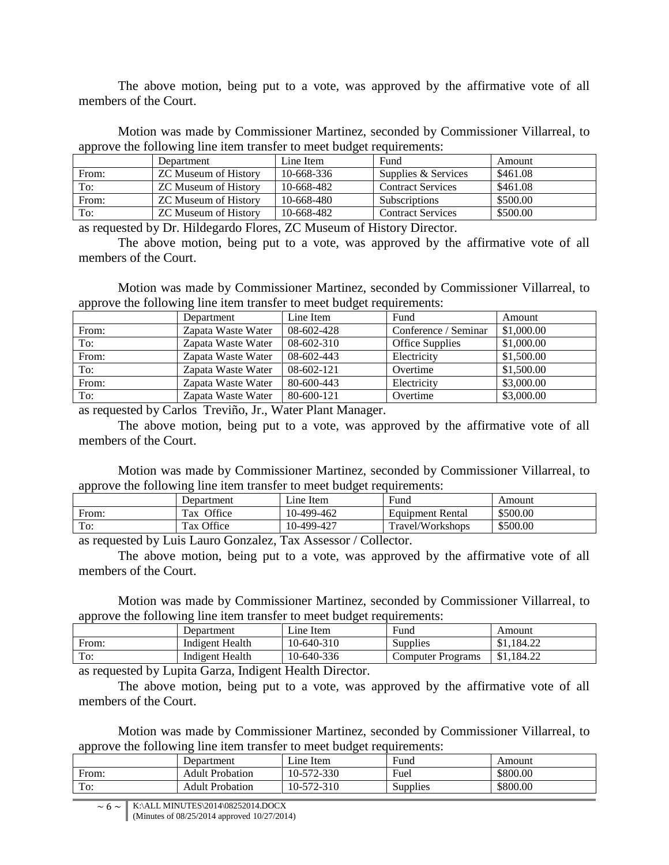The above motion, being put to a vote, was approved by the affirmative vote of all members of the Court.

Motion was made by Commissioner Martinez, seconded by Commissioner Villarreal, to approve the following line item transfer to meet budget requirements:

|       | Department                  | Line Item  | Fund                     | Amount   |
|-------|-----------------------------|------------|--------------------------|----------|
| From: | <b>ZC Museum of History</b> | 10-668-336 | Supplies & Services      | \$461.08 |
| To:   | <b>ZC Museum of History</b> | 10-668-482 | <b>Contract Services</b> | \$461.08 |
| From: | <b>ZC Museum of History</b> | 10-668-480 | <b>Subscriptions</b>     | \$500.00 |
| To:   | <b>ZC Museum of History</b> | 10-668-482 | <b>Contract Services</b> | \$500.00 |

as requested by Dr. Hildegardo Flores, ZC Museum of History Director.

The above motion, being put to a vote, was approved by the affirmative vote of all members of the Court.

Motion was made by Commissioner Martinez, seconded by Commissioner Villarreal, to approve the following line item transfer to meet budget requirements:

| . .   | Department         | Line Item    | Fund                   | Amount     |
|-------|--------------------|--------------|------------------------|------------|
| From: | Zapata Waste Water | 08-602-428   | Conference / Seminar   | \$1,000.00 |
| To:   | Zapata Waste Water | $08-602-310$ | <b>Office Supplies</b> | \$1,000.00 |
| From: | Zapata Waste Water | 08-602-443   | Electricity            | \$1,500.00 |
| To:   | Zapata Waste Water | $08-602-121$ | Overtime               | \$1,500.00 |
| From: | Zapata Waste Water | 80-600-443   | Electricity            | \$3,000.00 |
| To:   | Zapata Waste Water | 80-600-121   | Overtime               | \$3,000.00 |

as requested by Carlos Treviño, Jr., Water Plant Manager.

The above motion, being put to a vote, was approved by the affirmative vote of all members of the Court.

Motion was made by Commissioner Martinez, seconded by Commissioner Villarreal, to approve the following line item transfer to meet budget requirements:

|       | Department             | Line Item   | Fund                    | Amount   |
|-------|------------------------|-------------|-------------------------|----------|
| From: | Office<br>$T_{\rm ax}$ | 10-499-462  | <b>Equipment Rental</b> | \$500.00 |
| To:   | Tax Office             | 10-499-427  | Travel/Workshops        | \$500.00 |
| .     | $\tilde{\phantom{a}}$  | .<br>$\sim$ |                         |          |

as requested by Luis Lauro Gonzalez, Tax Assessor / Collector.

The above motion, being put to a vote, was approved by the affirmative vote of all members of the Court.

Motion was made by Commissioner Martinez, seconded by Commissioner Villarreal, to approve the following line item transfer to meet budget requirements:

|       | Department      | $\angle$ ine Item | Fund                     | Amount                  |
|-------|-----------------|-------------------|--------------------------|-------------------------|
| From: | Indigent Health | 10-640-310        | Supplies                 | \$1,184.22              |
| To:   | Indigent Health | 10-640-336        | <b>Computer Programs</b> | .184.22<br>$Q_1$<br>JJ. |
| .     | ___<br>_____    | ____              |                          |                         |

as requested by Lupita Garza, Indigent Health Director.

The above motion, being put to a vote, was approved by the affirmative vote of all members of the Court.

Motion was made by Commissioner Martinez, seconded by Commissioner Villarreal, to approve the following line item transfer to meet budget requirements:

|       | Department             | $\mathop{\text{line}}$ Item | Fund     | Amount   |
|-------|------------------------|-----------------------------|----------|----------|
| From: | <b>Adult Probation</b> | 10-572-330                  | Fuel     | \$800.00 |
| To:   | <b>Adult Probation</b> | 10-572-310                  | Supplies | \$800.00 |
|       |                        |                             |          |          |

 $\sim 6 \sim$  K:\ALL MINUTES\2014\08252014.DOCX (Minutes of 08/25/2014 approved 10/27/2014)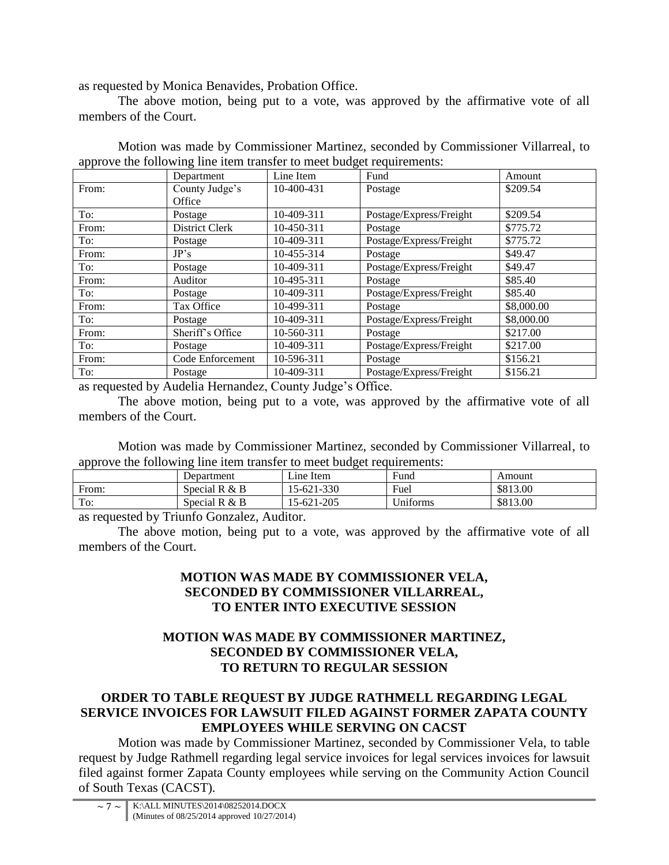as requested by Monica Benavides, Probation Office.

The above motion, being put to a vote, was approved by the affirmative vote of all members of the Court.

|       | Department       | Line Item  | Fund                    | Amount     |
|-------|------------------|------------|-------------------------|------------|
| From: | County Judge's   | 10-400-431 | Postage                 | \$209.54   |
|       | Office           |            |                         |            |
| To:   | Postage          | 10-409-311 | Postage/Express/Freight | \$209.54   |
| From: | District Clerk   | 10-450-311 | Postage                 | \$775.72   |
| To:   | Postage          | 10-409-311 | Postage/Express/Freight | \$775.72   |
| From: | JP's             | 10-455-314 | Postage                 | \$49.47    |
| To:   | Postage          | 10-409-311 | Postage/Express/Freight | \$49.47    |
| From: | Auditor          | 10-495-311 | Postage                 | \$85.40    |
| To:   | Postage          | 10-409-311 | Postage/Express/Freight | \$85.40    |
| From: | Tax Office       | 10-499-311 | Postage                 | \$8,000.00 |
| To:   | Postage          | 10-409-311 | Postage/Express/Freight | \$8,000.00 |
| From: | Sheriff's Office | 10-560-311 | Postage                 | \$217.00   |
| To:   | Postage          | 10-409-311 | Postage/Express/Freight | \$217.00   |
| From: | Code Enforcement | 10-596-311 | Postage                 | \$156.21   |
| To:   | Postage          | 10-409-311 | Postage/Express/Freight | \$156.21   |

Motion was made by Commissioner Martinez, seconded by Commissioner Villarreal, to approve the following line item transfer to meet budget requirements:

as requested by Audelia Hernandez, County Judge's Office.

The above motion, being put to a vote, was approved by the affirmative vote of all members of the Court.

Motion was made by Commissioner Martinez, seconded by Commissioner Villarreal, to approve the following line item transfer to meet budget requirements:

| . .             |                 |                   |          |          |
|-----------------|-----------------|-------------------|----------|----------|
|                 | Department      | $\angle$ ine Item | Fund     | Amount   |
| From:           | Special R $&$ B | 15-621-330        | Fuel     | \$813.00 |
| To:             | Special R $&$ B | 15-621-205        | Uniforms | \$813.00 |
| - -<br>_ _<br>. |                 |                   |          |          |

as requested by Triunfo Gonzalez, Auditor.

The above motion, being put to a vote, was approved by the affirmative vote of all members of the Court.

#### **MOTION WAS MADE BY COMMISSIONER VELA, SECONDED BY COMMISSIONER VILLARREAL, TO ENTER INTO EXECUTIVE SESSION**

## **MOTION WAS MADE BY COMMISSIONER MARTINEZ, SECONDED BY COMMISSIONER VELA, TO RETURN TO REGULAR SESSION**

# **ORDER TO TABLE REQUEST BY JUDGE RATHMELL REGARDING LEGAL SERVICE INVOICES FOR LAWSUIT FILED AGAINST FORMER ZAPATA COUNTY EMPLOYEES WHILE SERVING ON CACST**

Motion was made by Commissioner Martinez, seconded by Commissioner Vela, to table request by Judge Rathmell regarding legal service invoices for legal services invoices for lawsuit filed against former Zapata County employees while serving on the Community Action Council of South Texas (CACST).